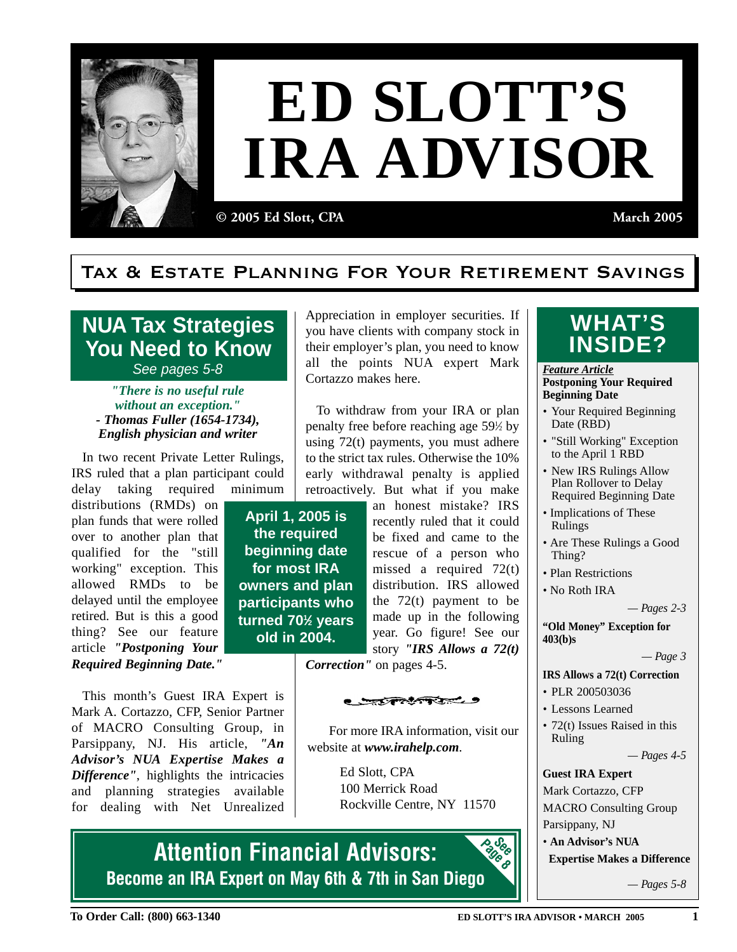

## **ED SLOTT'S IRA ADVISOR**

**© 2005 Ed Slott, CPA March 2005**

## Tax & Estate Planning For Your Retirement Savings

**NUA Tax Strategies You Need to Know** See pages 5-8

*"There is no useful rule without an exception." - Thomas Fuller (1654-1734), English physician and writer*

In two recent Private Letter Rulings, IRS ruled that a plan participant could delay taking required minimum

distributions (RMDs) on plan funds that were rolled over to another plan that qualified for the "still working" exception. This allowed RMDs to be delayed until the employee retired. But is this a good thing? See our feature article *"Postponing Your Required Beginning Date."*

This month's Guest IRA Expert is Mark A. Cortazzo, CFP, Senior Partner of MACRO Consulting Group, in Parsippany, NJ. His article, *"An Advisor's NUA Expertise Makes a Difference"*, highlights the intricacies and planning strategies available for dealing with Net Unrealized Appreciation in employer securities. If you have clients with company stock in their employer's plan, you need to know all the points NUA expert Mark Cortazzo makes here.

To withdraw from your IRA or plan penalty free before reaching age 59<sup>1/2</sup> by using 72(t) payments, you must adhere to the strict tax rules. Otherwise the 10% early withdrawal penalty is applied retroactively. But what if you make

**April 1, 2005 is the required beginning date for most IRA owners and plan participants who turned 701 ⁄2 years old in 2004.**

an honest mistake? IRS recently ruled that it could be fixed and came to the rescue of a person who missed a required 72(t) distribution. IRS allowed the  $72(t)$  payment to be made up in the following year. Go figure! See our story *"IRS Allows a 72(t)*

*Correction"* on pages 4-5.

<del>्राजनकार ।</del>

For more IRA information, visit our website at *www.irahelp.com*.

> Ed Slott, CPA 100 Merrick Road Rockville Centre, NY 11570

**Attention Financial Advisors: Become an IRA Expert on May 6th & 7th in San Diego Page 8 See** 

## **WHAT'S**

*Feature Article* **Postponing Your Required Beginning Date**

- Your Required Beginning Date (RBD)
- "Still Working" Exception to the April 1 RBD
- New IRS Rulings Allow Plan Rollover to Delay Required Beginning Date
- Implications of These Rulings
- Are These Rulings a Good Thing?
- Plan Restrictions
- No Roth IRA

*— Pages 2-3* 

**"Old Money" Exception for 403(b)s**

*— Page 3* 

- **IRS Allows a 72(t) Correction**
- PLR 200503036
- Lessons Learned
- 72(t) Issues Raised in this Ruling

*— Pages 4-5*

**Guest IRA Expert** Mark Cortazzo, CFP MACRO Consulting Group Parsippany, NJ • **An Advisor's NUA** 

**Expertise Makes a Difference**

*— Pages 5-8*